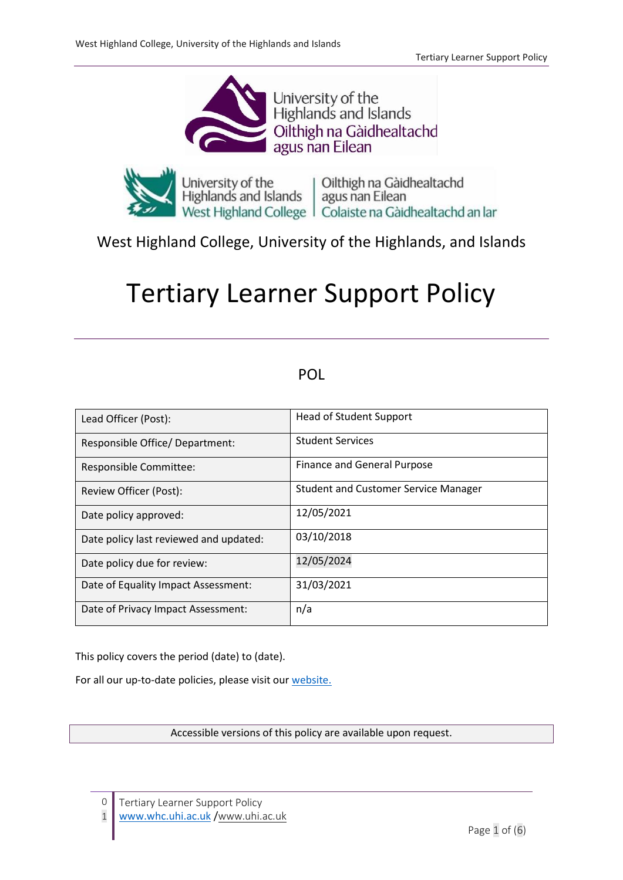



# West Highland College, University of the Highlands, and Islands

# Tertiary Learner Support Policy

# POL

| Lead Officer (Post):                   | <b>Head of Student Support</b>              |
|----------------------------------------|---------------------------------------------|
| Responsible Office/ Department:        | <b>Student Services</b>                     |
| Responsible Committee:                 | Finance and General Purpose                 |
| Review Officer (Post):                 | <b>Student and Customer Service Manager</b> |
| Date policy approved:                  | 12/05/2021                                  |
| Date policy last reviewed and updated: | 03/10/2018                                  |
| Date policy due for review:            | 12/05/2024                                  |
| Date of Equality Impact Assessment:    | 31/03/2021                                  |
| Date of Privacy Impact Assessment:     | n/a                                         |

This policy covers the period (date) to (date).

For all our up-to-date policies, please visit our [website.](https://www.whc.uhi.ac.uk/)

Accessible versions of this policy are available upon request.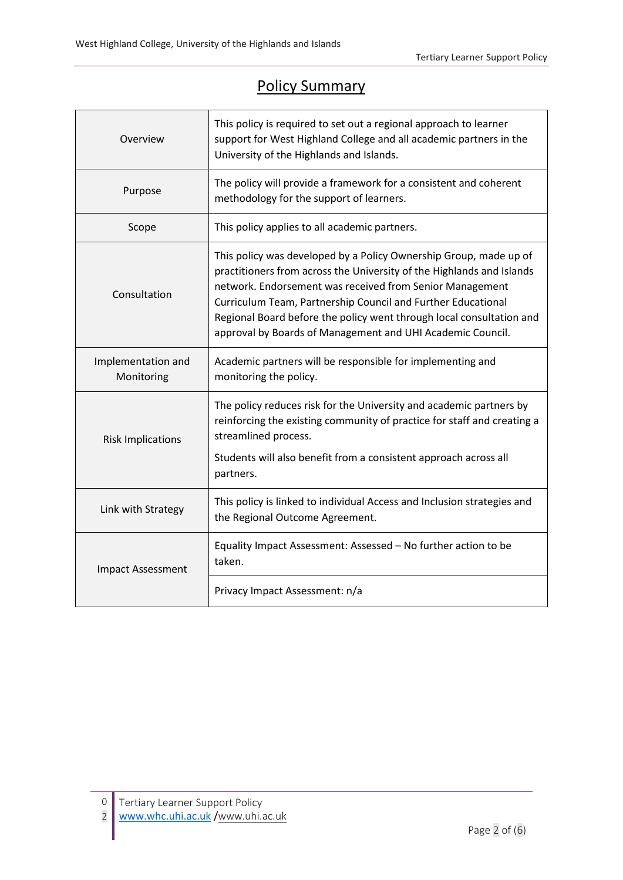# Policy Summary

| Overview                         | This policy is required to set out a regional approach to learner<br>support for West Highland College and all academic partners in the<br>University of the Highlands and Islands.                                                                                                                                                                                                                          |  |  |
|----------------------------------|--------------------------------------------------------------------------------------------------------------------------------------------------------------------------------------------------------------------------------------------------------------------------------------------------------------------------------------------------------------------------------------------------------------|--|--|
| Purpose                          | The policy will provide a framework for a consistent and coherent<br>methodology for the support of learners.                                                                                                                                                                                                                                                                                                |  |  |
| Scope                            | This policy applies to all academic partners.                                                                                                                                                                                                                                                                                                                                                                |  |  |
| Consultation                     | This policy was developed by a Policy Ownership Group, made up of<br>practitioners from across the University of the Highlands and Islands<br>network. Endorsement was received from Senior Management<br>Curriculum Team, Partnership Council and Further Educational<br>Regional Board before the policy went through local consultation and<br>approval by Boards of Management and UHI Academic Council. |  |  |
| Implementation and<br>Monitoring | Academic partners will be responsible for implementing and<br>monitoring the policy.                                                                                                                                                                                                                                                                                                                         |  |  |
| <b>Risk Implications</b>         | The policy reduces risk for the University and academic partners by<br>reinforcing the existing community of practice for staff and creating a<br>streamlined process.<br>Students will also benefit from a consistent approach across all<br>partners.                                                                                                                                                      |  |  |
| Link with Strategy               | This policy is linked to individual Access and Inclusion strategies and<br>the Regional Outcome Agreement.                                                                                                                                                                                                                                                                                                   |  |  |
| <b>Impact Assessment</b>         | Equality Impact Assessment: Assessed - No further action to be<br>taken.                                                                                                                                                                                                                                                                                                                                     |  |  |
|                                  | Privacy Impact Assessment: n/a                                                                                                                                                                                                                                                                                                                                                                               |  |  |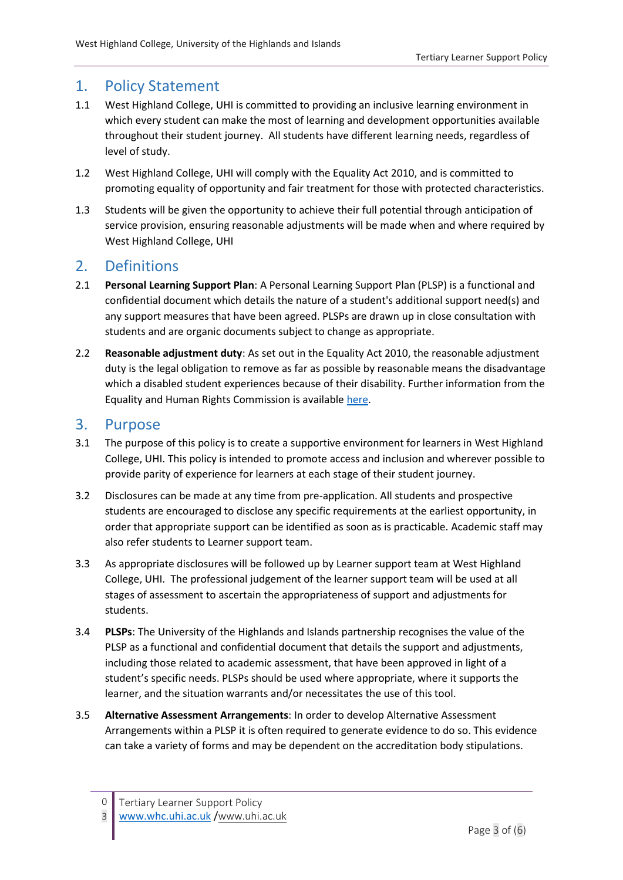### 1. Policy Statement

- 1.1 West Highland College, UHI is committed to providing an inclusive learning environment in which every student can make the most of learning and development opportunities available throughout their student journey. All students have different learning needs, regardless of level of study.
- 1.2 West Highland College, UHI will comply with the Equality Act 2010, and is committed to promoting equality of opportunity and fair treatment for those with protected characteristics.
- 1.3 Students will be given the opportunity to achieve their full potential through anticipation of service provision, ensuring reasonable adjustments will be made when and where required by West Highland College, UHI

## 2. Definitions

- 2.1 **Personal Learning Support Plan**: A Personal Learning Support Plan (PLSP) is a functional and confidential document which details the nature of a student's additional support need(s) and any support measures that have been agreed. PLSPs are drawn up in close consultation with students and are organic documents subject to change as appropriate.
- 2.2 **Reasonable adjustment duty**: As set out in the Equality Act 2010, the reasonable adjustment duty is the legal obligation to remove as far as possible by reasonable means the disadvantage which a disabled student experiences because of their disability. Further information from the Equality and Human Rights Commission is available [here.](https://www.equalityhumanrights.com/sites/default/files/equalityact2010-technicalguidance-feandhe-2015.pdf)

#### 3. Purpose

- 3.1 The purpose of this policy is to create a supportive environment for learners in West Highland College, UHI. This policy is intended to promote access and inclusion and wherever possible to provide parity of experience for learners at each stage of their student journey.
- 3.2 Disclosures can be made at any time from pre-application. All students and prospective students are encouraged to disclose any specific requirements at the earliest opportunity, in order that appropriate support can be identified as soon as is practicable. Academic staff may also refer students to Learner support team.
- 3.3 As appropriate disclosures will be followed up by Learner support team at West Highland College, UHI. The professional judgement of the learner support team will be used at all stages of assessment to ascertain the appropriateness of support and adjustments for students.
- 3.4 **PLSPs**: The University of the Highlands and Islands partnership recognises the value of the PLSP as a functional and confidential document that details the support and adjustments, including those related to academic assessment, that have been approved in light of a student's specific needs. PLSPs should be used where appropriate, where it supports the learner, and the situation warrants and/or necessitates the use of this tool.
- 3.5 **Alternative Assessment Arrangements**: In order to develop Alternative Assessment Arrangements within a PLSP it is often required to generate evidence to do so. This evidence can take a variety of forms and may be dependent on the accreditation body stipulations.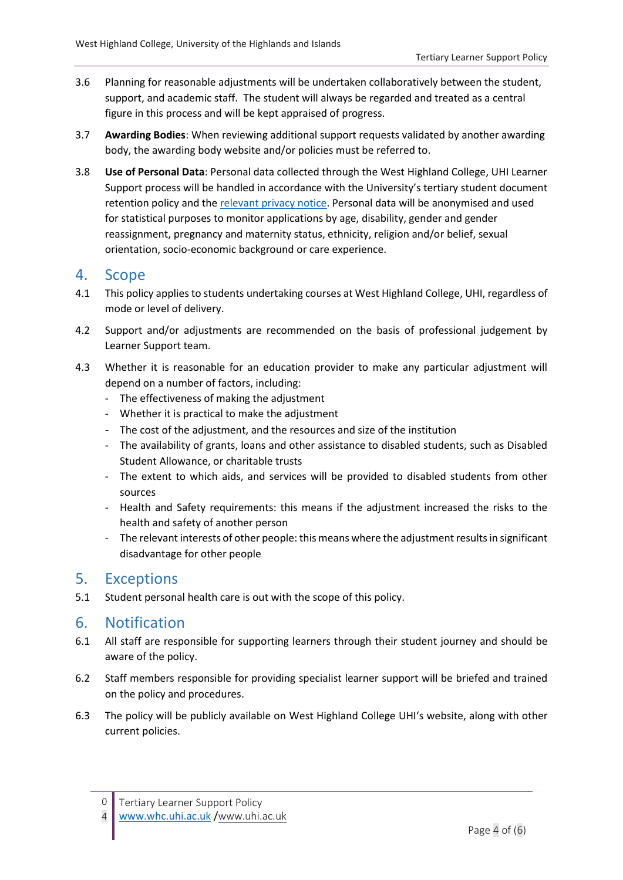- 3.6 Planning for reasonable adjustments will be undertaken collaboratively between the student, support, and academic staff. The student will always be regarded and treated as a central figure in this process and will be kept appraised of progress.
- 3.7 **Awarding Bodies**: When reviewing additional support requests validated by another awarding body, the awarding body website and/or policies must be referred to.
- 3.8 **Use of Personal Data**: Personal data collected through the West Highland College, UHI Learner Support process will be handled in accordance with the University's tertiary student document retention policy and the [relevant privacy notice.](https://www.uhi.ac.uk/dm-privacy) Personal data will be anonymised and used for statistical purposes to monitor applications by age, disability, gender and gender reassignment, pregnancy and maternity status, ethnicity, religion and/or belief, sexual orientation, socio-economic background or care experience.

#### 4. Scope

- 4.1 This policy applies to students undertaking courses at West Highland College, UHI, regardless of mode or level of delivery.
- 4.2 Support and/or adjustments are recommended on the basis of professional judgement by Learner Support team.
- 4.3 Whether it is reasonable for an education provider to make any particular adjustment will depend on a number of factors, including:
	- The effectiveness of making the adjustment
	- Whether it is practical to make the adjustment
	- The cost of the adjustment, and the resources and size of the institution
	- The availability of grants, loans and other assistance to disabled students, such as Disabled Student Allowance, or charitable trusts
	- The extent to which aids, and services will be provided to disabled students from other sources
	- Health and Safety requirements: this means if the adjustment increased the risks to the health and safety of another person
	- The relevant interests of other people:this means where the adjustment results in significant disadvantage for other people

#### 5. Exceptions

5.1 Student personal health care is out with the scope of this policy.

## 6. Notification

- 6.1 All staff are responsible for supporting learners through their student journey and should be aware of the policy.
- 6.2 Staff members responsible for providing specialist learner support will be briefed and trained on the policy and procedures.
- 6.3 The policy will be publicly available on West Highland College UHI's website, along with other current policies.

<sup>0</sup> Tertiary Learner Support Policy

<sup>4</sup> [www.whc.uhi.ac.uk](http://www.whc.uhi.ac.uk/) /[www.uhi.ac.uk](http://www.uhi.ac.uk/)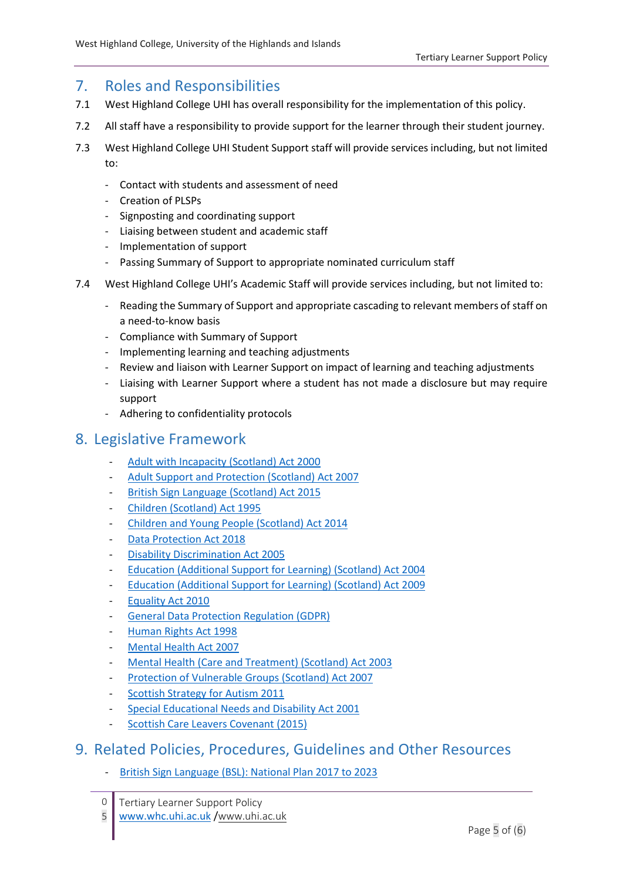# 7. Roles and Responsibilities

- 7.1 West Highland College UHI has overall responsibility for the implementation of this policy.
- 7.2 All staff have a responsibility to provide support for the learner through their student journey.
- 7.3 West Highland College UHI Student Support staff will provide services including, but not limited to:
	- Contact with students and assessment of need
	- Creation of PLSPs
	- Signposting and coordinating support
	- Liaising between student and academic staff
	- Implementation of support
	- Passing Summary of Support to appropriate nominated curriculum staff
- 7.4 West Highland College UHI's Academic Staff will provide services including, but not limited to:
	- Reading the Summary of Support and appropriate cascading to relevant members of staff on a need-to-know basis
	- Compliance with Summary of Support
	- Implementing learning and teaching adjustments
	- Review and liaison with Learner Support on impact of learning and teaching adjustments
	- Liaising with Learner Support where a student has not made a disclosure but may require support
	- Adhering to confidentiality protocols

#### 8. Legislative Framework

- [Adult with Incapacity \(Scotland\) Act 2000](https://www.legislation.gov.uk/asp/2000/4/contents)
- [Adult Support and Protection \(Scotland\) Act 2007](https://www.legislation.gov.uk/asp/2007/10/contents)
- [British Sign Language](http://www.legislation.gov.uk/asp/2015/11/contents/enacted) (Scotland) Act 2015
- [Children \(Scotland\) Act 1995](https://www.legislation.gov.uk/ukpga/1995/36/contents)
- [Children and Young People \(Scotland\) Act 2014](http://www.legislation.gov.uk/asp/2014/8/contents/enacted)
- [Data Protection Act 2018](http://www.legislation.gov.uk/ukpga/2018/12/contents/enacted)
- [Disability Discrimination Act 2005](https://www.legislation.gov.uk/ukpga/2005/13/contents)
- [Education \(Additional Support for Learning\) \(Scotland\) Act 2004](https://www.legislation.gov.uk/asp/2004/4/contents)
- [Education \(Additional Support for Learning\) \(Scotland\) Act 2009](https://www.legislation.gov.uk/asp/2009/7/contents)
- [Equality Act 2010](https://www.legislation.gov.uk/ukpga/2010/15/contents)
- [General Data Protection Regulation \(GDPR\)](https://eur-lex.europa.eu/legal-content/EN/TXT/?uri=celex%3A32016R0679)
- [Human Rights Act 1998](https://www.legislation.gov.uk/ukpga/1998/42/contents)
- [Mental Health Act 2007](https://www.legislation.gov.uk/ukpga/2007/12/contents)
- [Mental Health \(Care and Treatment\) \(Scotland\) Act 2003](https://www.legislation.gov.uk/asp/2003/13/contents)
- [Protection of Vulnerable Groups \(Scotland\) Act 2007](https://www.legislation.gov.uk/asp/2007/14/contents)
- Scottish Strategy for [Autism](https://beta.gov.scot/publications/scottish-strategy-autism/) 2011
- [Special Educational Needs](https://www.legislation.gov.uk/ukpga/2001/10/contents) and Disability Act 2001
- [Scottish Care Leavers Covenant \(2015\)](http://www.scottishcareleaverscovenant.org/)

#### 9. Related Policies, Procedures, Guidelines and Other Resources

- [British Sign Language \(BSL\): National Plan 2017 to 2023](https://beta.gov.scot/publications/british-sign-language-bsl-national-plan-2017-2023/)
- $\Omega$ Tertiary Learner Support Policy
- 5 [www.whc.uhi.ac.uk](http://www.whc.uhi.ac.uk/) /[www.uhi.ac.uk](http://www.uhi.ac.uk/)